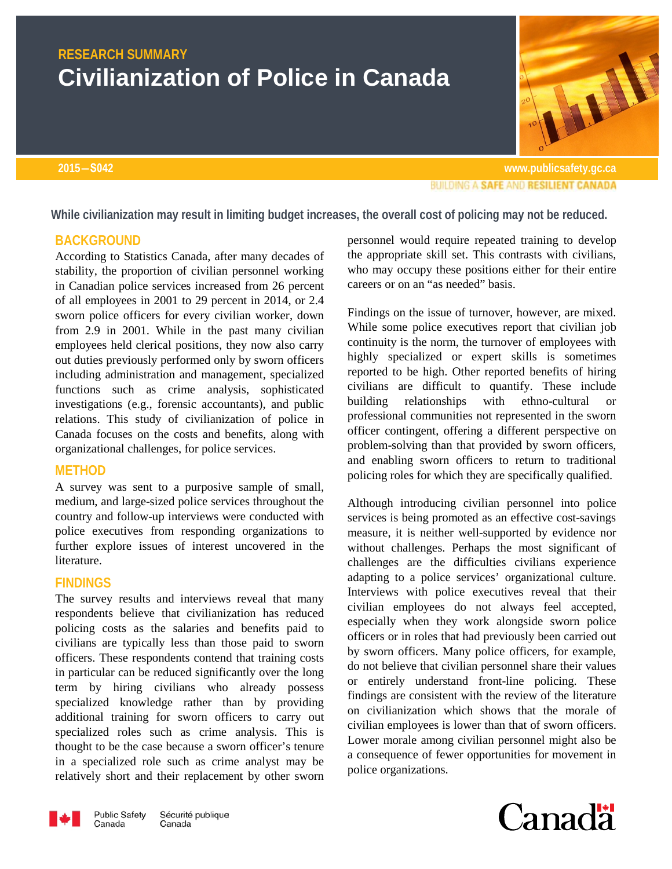# **RESEARCH SUMMARY Civilianization of Police in Canada**

**2015―S042 www.publicsafety.gc.caBUILDING A SAFE AND RESILIENT CANADA** 

**While civilianization may result in limiting budget increases, the overall cost of policing may not be reduced.**

### **BACKGROUND**

According to Statistics Canada, after many decades of stability, the proportion of civilian personnel working in Canadian police services increased from 26 percent of all employees in 2001 to 29 percent in 2014, or 2.4 sworn police officers for every civilian worker, down from 2.9 in 2001. While in the past many civilian employees held clerical positions, they now also carry out duties previously performed only by sworn officers including administration and management, specialized functions such as crime analysis, sophisticated investigations (e.g., forensic accountants), and public relations. This study of civilianization of police in Canada focuses on the costs and benefits, along with organizational challenges, for police services.

## **METHOD**

A survey was sent to a purposive sample of small, medium, and large-sized police services throughout the country and follow-up interviews were conducted with police executives from responding organizations to further explore issues of interest uncovered in the literature.

### **FINDINGS**

The survey results and interviews reveal that many respondents believe that civilianization has reduced policing costs as the salaries and benefits paid to civilians are typically less than those paid to sworn officers. These respondents contend that training costs in particular can be reduced significantly over the long term by hiring civilians who already possess specialized knowledge rather than by providing additional training for sworn officers to carry out specialized roles such as crime analysis. This is thought to be the case because a sworn officer's tenure in a specialized role such as crime analyst may be relatively short and their replacement by other sworn personnel would require repeated training to develop the appropriate skill set. This contrasts with civilians, who may occupy these positions either for their entire careers or on an "as needed" basis.

Findings on the issue of turnover, however, are mixed. While some police executives report that civilian job continuity is the norm, the turnover of employees with highly specialized or expert skills is sometimes reported to be high. Other reported benefits of hiring civilians are difficult to quantify. These include building relationships with ethno-cultural or professional communities not represented in the sworn officer contingent, offering a different perspective on problem-solving than that provided by sworn officers, and enabling sworn officers to return to traditional policing roles for which they are specifically qualified.

Although introducing civilian personnel into police services is being promoted as an effective cost-savings measure, it is neither well-supported by evidence nor without challenges. Perhaps the most significant of challenges are the difficulties civilians experience adapting to a police services' organizational culture. Interviews with police executives reveal that their civilian employees do not always feel accepted, especially when they work alongside sworn police officers or in roles that had previously been carried out by sworn officers. Many police officers, for example, do not believe that civilian personnel share their values or entirely understand front-line policing. These findings are consistent with the review of the literature on civilianization which shows that the morale of civilian employees is lower than that of sworn officers. Lower morale among civilian personnel might also be a consequence of fewer opportunities for movement in police organizations.